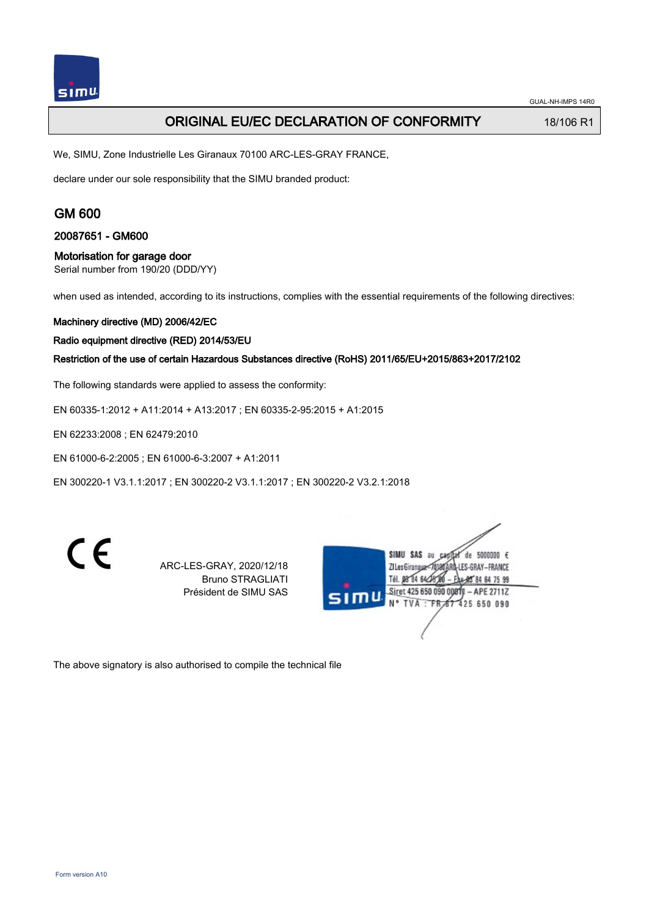## ORIGINAL EU/EC DECLARATION OF CONFORMITY 18/106 R1

We, SIMU, Zone Industrielle Les Giranaux 70100 ARC-LES-GRAY FRANCE,

declare under our sole responsibility that the SIMU branded product:

## GM 600

20087651 - GM600

### Motorisation for garage door

Serial number from 190/20 (DDD/YY)

when used as intended, according to its instructions, complies with the essential requirements of the following directives:

#### Machinery directive (MD) 2006/42/EC

Radio equipment directive (RED) 2014/53/EU

Restriction of the use of certain Hazardous Substances directive (RoHS) 2011/65/EU+2015/863+2017/2102

The following standards were applied to assess the conformity:

EN 60335‑1:2012 + A11:2014 + A13:2017 ; EN 60335‑2‑95:2015 + A1:2015

EN 62233:2008 ; EN 62479:2010

EN 61000‑6‑2:2005 ; EN 61000‑6‑3:2007 + A1:2011

EN 300220‑1 V3.1.1:2017 ; EN 300220‑2 V3.1.1:2017 ; EN 300220‑2 V3.2.1:2018

 $\epsilon$ 

ARC-LES-GRAY, 2020/12/18 Bruno STRAGLIATI Président de SIMU SAS

SIMU SAS au de 5000000  $\epsilon$ ZI Les Giranaux</DJ80ARD-LES-GRAY-FRANCE Tél. 08 84 64 28 85 84 64 75 99 Siret 425 650 090 00811 - APE 2711Z TVA: FR 67 425 650 090

The above signatory is also authorised to compile the technical file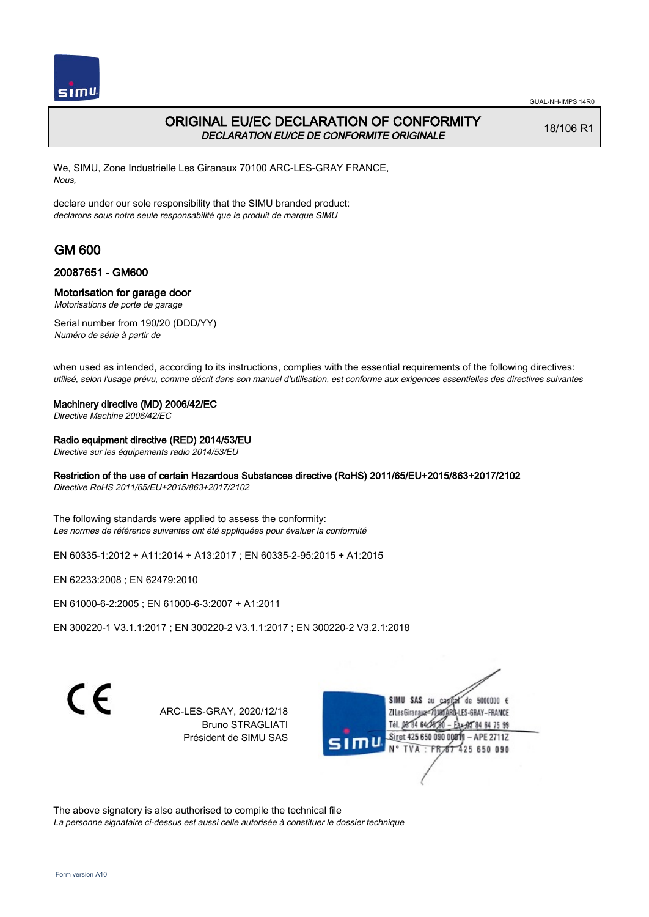

# ORIGINAL EU/EC DECLARATION OF CONFORMITY DECLARATION EU/CE DE CONFORMITE ORIGINALE

18/106 R1

We, SIMU, Zone Industrielle Les Giranaux 70100 ARC-LES-GRAY FRANCE, Nous,

declare under our sole responsibility that the SIMU branded product: declarons sous notre seule responsabilité que le produit de marque SIMU

# GM 600

### 20087651 - GM600

### Motorisation for garage door

Motorisations de porte de garage

Serial number from 190/20 (DDD/YY) Numéro de série à partir de

when used as intended, according to its instructions, complies with the essential requirements of the following directives: utilisé, selon l'usage prévu, comme décrit dans son manuel d'utilisation, est conforme aux exigences essentielles des directives suivantes

#### Machinery directive (MD) 2006/42/EC

Directive Machine 2006/42/EC

### Radio equipment directive (RED) 2014/53/EU

Directive sur les équipements radio 2014/53/EU

### Restriction of the use of certain Hazardous Substances directive (RoHS) 2011/65/EU+2015/863+2017/2102

Directive RoHS 2011/65/EU+2015/863+2017/2102

The following standards were applied to assess the conformity: Les normes de référence suivantes ont été appliquées pour évaluer la conformité

EN 60335‑1:2012 + A11:2014 + A13:2017 ; EN 60335‑2‑95:2015 + A1:2015

EN 62233:2008 ; EN 62479:2010

EN 61000‑6‑2:2005 ; EN 61000‑6‑3:2007 + A1:2011

EN 300220‑1 V3.1.1:2017 ; EN 300220‑2 V3.1.1:2017 ; EN 300220‑2 V3.2.1:2018

 $\epsilon$ 

ARC-LES-GRAY, 2020/12/18 Bruno STRAGLIATI Président de SIMU SAS

de 5000000  $\epsilon$ **ZILesGiranaua** ES-GRAY-FRANCE 84 64 75 99 Siret 425 650 090 00811  $-$  APE 2711Z 425 650 090 **TVA** 

The above signatory is also authorised to compile the technical file La personne signataire ci-dessus est aussi celle autorisée à constituer le dossier technique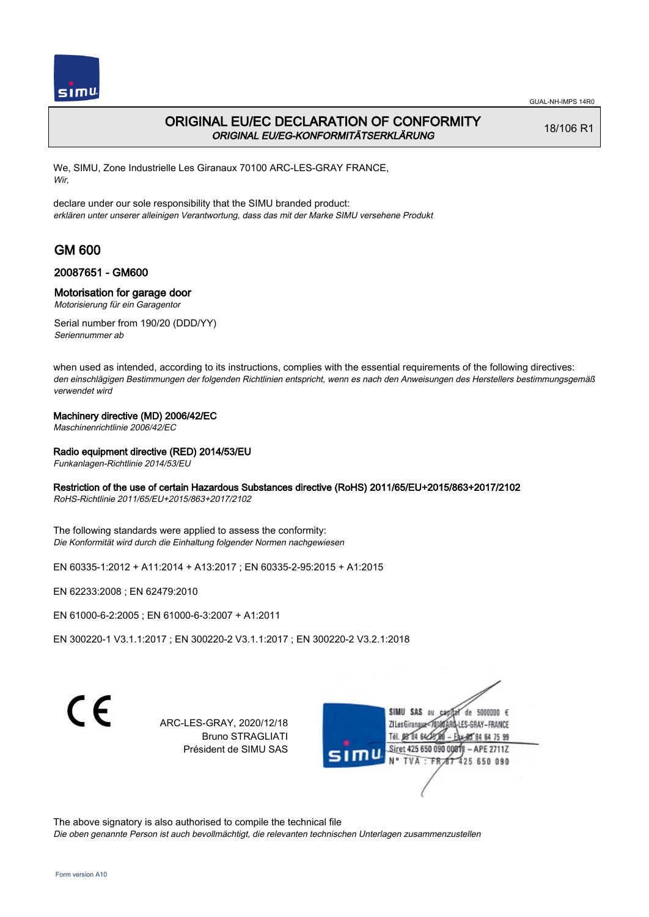

## ORIGINAL EU/EC DECLARATION OF CONFORMITY ORIGINAL EU/EG-KONFORMITÄTSERKLÄRUNG

18/106 R1

We, SIMU, Zone Industrielle Les Giranaux 70100 ARC-LES-GRAY FRANCE, Wir,

declare under our sole responsibility that the SIMU branded product: erklären unter unserer alleinigen Verantwortung, dass das mit der Marke SIMU versehene Produkt

# GM 600

### 20087651 - GM600

### Motorisation for garage door

Motorisierung für ein Garagentor

Serial number from 190/20 (DDD/YY) Seriennummer ab

when used as intended, according to its instructions, complies with the essential requirements of the following directives: den einschlägigen Bestimmungen der folgenden Richtlinien entspricht, wenn es nach den Anweisungen des Herstellers bestimmungsgemäß verwendet wird

### Machinery directive (MD) 2006/42/EC

Maschinenrichtlinie 2006/42/EC

### Radio equipment directive (RED) 2014/53/EU

Funkanlagen-Richtlinie 2014/53/EU

### Restriction of the use of certain Hazardous Substances directive (RoHS) 2011/65/EU+2015/863+2017/2102

RoHS-Richtlinie 2011/65/EU+2015/863+2017/2102

The following standards were applied to assess the conformity: Die Konformität wird durch die Einhaltung folgender Normen nachgewiesen

EN 60335‑1:2012 + A11:2014 + A13:2017 ; EN 60335‑2‑95:2015 + A1:2015

EN 62233:2008 ; EN 62479:2010

EN 61000‑6‑2:2005 ; EN 61000‑6‑3:2007 + A1:2011

EN 300220‑1 V3.1.1:2017 ; EN 300220‑2 V3.1.1:2017 ; EN 300220‑2 V3.2.1:2018

C F

ARC-LES-GRAY, 2020/12/18 Bruno STRAGLIATI Président de SIMU SAS



The above signatory is also authorised to compile the technical file

Die oben genannte Person ist auch bevollmächtigt, die relevanten technischen Unterlagen zusammenzustellen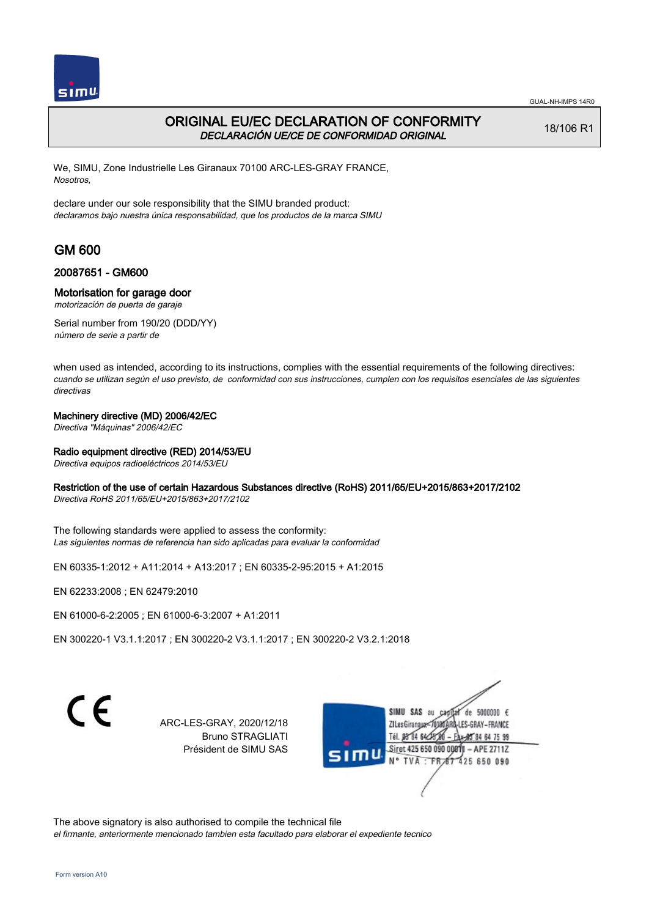

## ORIGINAL EU/EC DECLARATION OF CONFORMITY DECLARACIÓN UE/CE DE CONFORMIDAD ORIGINAL

18/106 R1

We, SIMU, Zone Industrielle Les Giranaux 70100 ARC-LES-GRAY FRANCE, Nosotros,

declare under our sole responsibility that the SIMU branded product: declaramos bajo nuestra única responsabilidad, que los productos de la marca SIMU

# GM 600

### 20087651 - GM600

#### Motorisation for garage door

motorización de puerta de garaje

Serial number from 190/20 (DDD/YY) número de serie a partir de

when used as intended, according to its instructions, complies with the essential requirements of the following directives: cuando se utilizan según el uso previsto, de conformidad con sus instrucciones, cumplen con los requisitos esenciales de las siguientes directivas

#### Machinery directive (MD) 2006/42/EC

Directiva "Máquinas" 2006/42/EC

#### Radio equipment directive (RED) 2014/53/EU

Directiva equipos radioeléctricos 2014/53/EU

#### Restriction of the use of certain Hazardous Substances directive (RoHS) 2011/65/EU+2015/863+2017/2102

Directiva RoHS 2011/65/EU+2015/863+2017/2102

The following standards were applied to assess the conformity: Las siguientes normas de referencia han sido aplicadas para evaluar la conformidad

EN 60335‑1:2012 + A11:2014 + A13:2017 ; EN 60335‑2‑95:2015 + A1:2015

EN 62233:2008 ; EN 62479:2010

EN 61000‑6‑2:2005 ; EN 61000‑6‑3:2007 + A1:2011

EN 300220‑1 V3.1.1:2017 ; EN 300220‑2 V3.1.1:2017 ; EN 300220‑2 V3.2.1:2018

C F

ARC-LES-GRAY, 2020/12/18 Bruno STRAGLIATI Président de SIMU SAS



The above signatory is also authorised to compile the technical file

el firmante, anteriormente mencionado tambien esta facultado para elaborar el expediente tecnico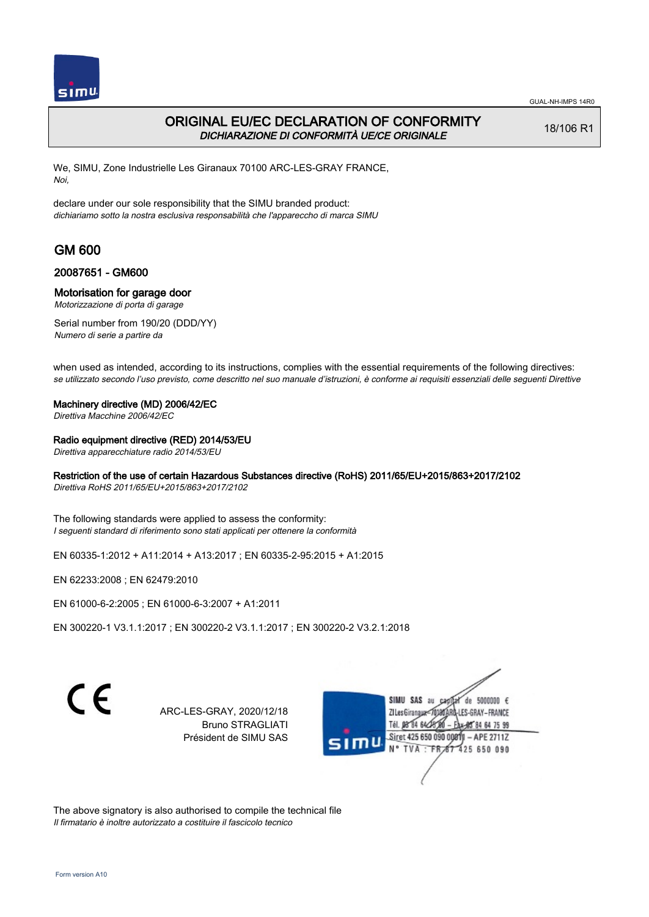

## ORIGINAL EU/EC DECLARATION OF CONFORMITY DICHIARAZIONE DI CONFORMITÀ UE/CE ORIGINALE

18/106 R1

We, SIMU, Zone Industrielle Les Giranaux 70100 ARC-LES-GRAY FRANCE, Noi,

declare under our sole responsibility that the SIMU branded product: dichiariamo sotto la nostra esclusiva responsabilità che l'appareccho di marca SIMU

# GM 600

### 20087651 - GM600

#### Motorisation for garage door

Motorizzazione di porta di garage

Serial number from 190/20 (DDD/YY) Numero di serie a partire da

when used as intended, according to its instructions, complies with the essential requirements of the following directives: se utilizzato secondo l'uso previsto, come descritto nel suo manuale d'istruzioni, è conforme ai requisiti essenziali delle seguenti Direttive

#### Machinery directive (MD) 2006/42/EC

Direttiva Macchine 2006/42/EC

#### Radio equipment directive (RED) 2014/53/EU

Direttiva apparecchiature radio 2014/53/EU

### Restriction of the use of certain Hazardous Substances directive (RoHS) 2011/65/EU+2015/863+2017/2102

Direttiva RoHS 2011/65/EU+2015/863+2017/2102

The following standards were applied to assess the conformity: I seguenti standard di riferimento sono stati applicati per ottenere la conformità

EN 60335‑1:2012 + A11:2014 + A13:2017 ; EN 60335‑2‑95:2015 + A1:2015

EN 62233:2008 ; EN 62479:2010

EN 61000‑6‑2:2005 ; EN 61000‑6‑3:2007 + A1:2011

EN 300220‑1 V3.1.1:2017 ; EN 300220‑2 V3.1.1:2017 ; EN 300220‑2 V3.2.1:2018

 $\epsilon$ 

ARC-LES-GRAY, 2020/12/18 Bruno STRAGLIATI Président de SIMU SAS

de 5000000  $\epsilon$ **ZILesGiranaux** ES-GRAY-FRANCE 84 64 75 99 Siret 425 650 090 00811 - APE 2711Z 425 650 090

The above signatory is also authorised to compile the technical file Il firmatario è inoltre autorizzato a costituire il fascicolo tecnico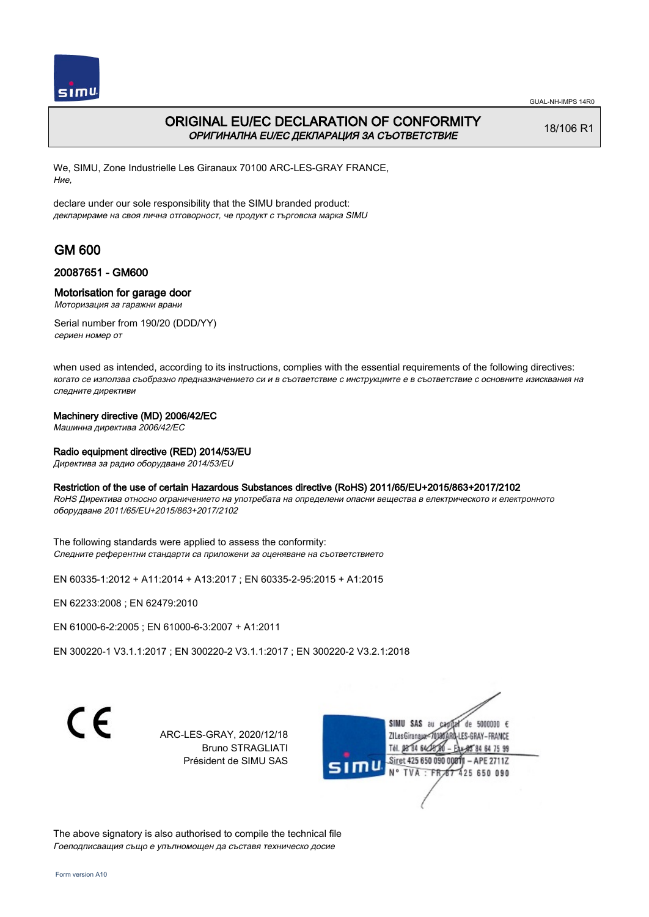

## ORIGINAL EU/EC DECLARATION OF CONFORMITY ОРИГИНАЛНА EU/EC ДЕКЛАРАЦИЯ ЗА СЪОТВЕТСТВИЕ

18/106 R1

We, SIMU, Zone Industrielle Les Giranaux 70100 ARC-LES-GRAY FRANCE, Ние,

declare under our sole responsibility that the SIMU branded product: декларираме на своя лична отговорност, че продукт с търговска марка SIMU

# GM 600

### 20087651 - GM600

#### Motorisation for garage door

Моторизация за гаражни врани

Serial number from 190/20 (DDD/YY) сериен номер от

when used as intended, according to its instructions, complies with the essential requirements of the following directives: когато се използва съобразно предназначението си и в съответствие с инструкциите е в съответствие с основните изисквания на следните директиви

#### Machinery directive (MD) 2006/42/EC

Машинна директива 2006/42/EC

#### Radio equipment directive (RED) 2014/53/EU

Директива за радио оборудване 2014/53/EU

### Restriction of the use of certain Hazardous Substances directive (RoHS) 2011/65/EU+2015/863+2017/2102

RoHS Директива относно ограничението на употребата на определени опасни вещества в електрическото и електронното оборудване 2011/65/EU+2015/863+2017/2102

The following standards were applied to assess the conformity: Следните референтни стандарти са приложени за оценяване на съответствието

EN 60335‑1:2012 + A11:2014 + A13:2017 ; EN 60335‑2‑95:2015 + A1:2015

EN 62233:2008 ; EN 62479:2010

EN 61000‑6‑2:2005 ; EN 61000‑6‑3:2007 + A1:2011

EN 300220‑1 V3.1.1:2017 ; EN 300220‑2 V3.1.1:2017 ; EN 300220‑2 V3.2.1:2018

C F

ARC-LES-GRAY, 2020/12/18 Bruno STRAGLIATI Président de SIMU SAS



The above signatory is also authorised to compile the technical file Гоеподписващия също е упълномощен да съставя техническо досие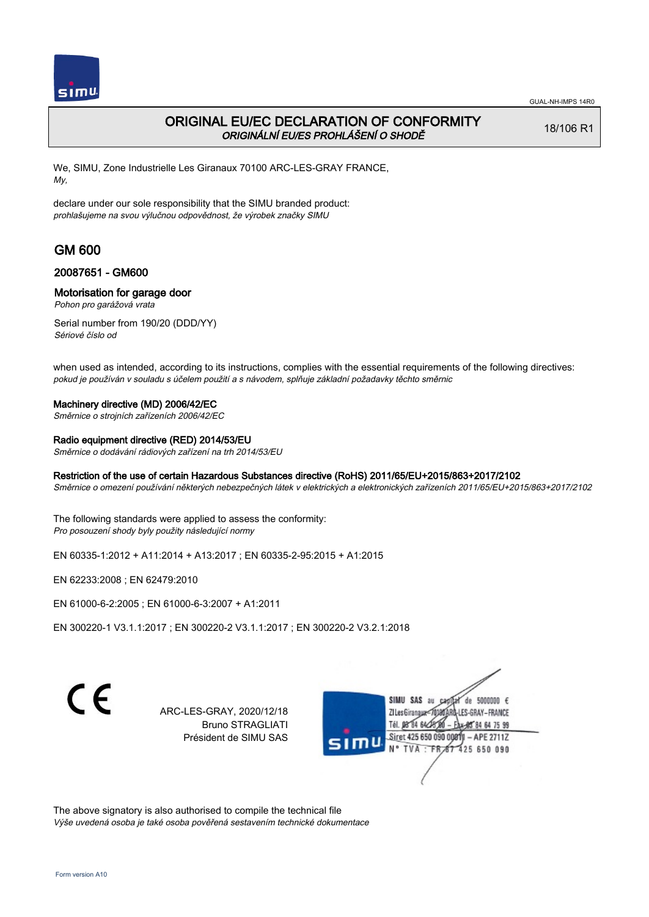

# ORIGINAL EU/EC DECLARATION OF CONFORMITY ORIGINÁLNÍ EU/ES PROHLÁŠENÍ O SHODĚ

18/106 R1

We, SIMU, Zone Industrielle Les Giranaux 70100 ARC-LES-GRAY FRANCE, My,

declare under our sole responsibility that the SIMU branded product: prohlašujeme na svou výlučnou odpovědnost, že výrobek značky SIMU

# GM 600

### 20087651 - GM600

### Motorisation for garage door

Pohon pro garážová vrata

Serial number from 190/20 (DDD/YY) Sériové číslo od

when used as intended, according to its instructions, complies with the essential requirements of the following directives: pokud je používán v souladu s účelem použití a s návodem, splňuje základní požadavky těchto směrnic

### Machinery directive (MD) 2006/42/EC

Směrnice o strojních zařízeních 2006/42/EC

#### Radio equipment directive (RED) 2014/53/EU

Směrnice o dodávání rádiových zařízení na trh 2014/53/EU

### Restriction of the use of certain Hazardous Substances directive (RoHS) 2011/65/EU+2015/863+2017/2102

Směrnice o omezení používání některých nebezpečných látek v elektrických a elektronických zařízeních 2011/65/EU+2015/863+2017/2102

The following standards were applied to assess the conformity: Pro posouzení shody byly použity následující normy

EN 60335‑1:2012 + A11:2014 + A13:2017 ; EN 60335‑2‑95:2015 + A1:2015

EN 62233:2008 ; EN 62479:2010

EN 61000‑6‑2:2005 ; EN 61000‑6‑3:2007 + A1:2011

EN 300220‑1 V3.1.1:2017 ; EN 300220‑2 V3.1.1:2017 ; EN 300220‑2 V3.2.1:2018

 $\epsilon$ 

ARC-LES-GRAY, 2020/12/18 Bruno STRAGLIATI Président de SIMU SAS

de 5000000  $\epsilon$ **ZILesGiranaua** ES-GRAY-FRANCE 84 64 75 99 Siret 425 650 090 00811  $-$  APE 2711Z 425 650 090

The above signatory is also authorised to compile the technical file Výše uvedená osoba je také osoba pověřená sestavením technické dokumentace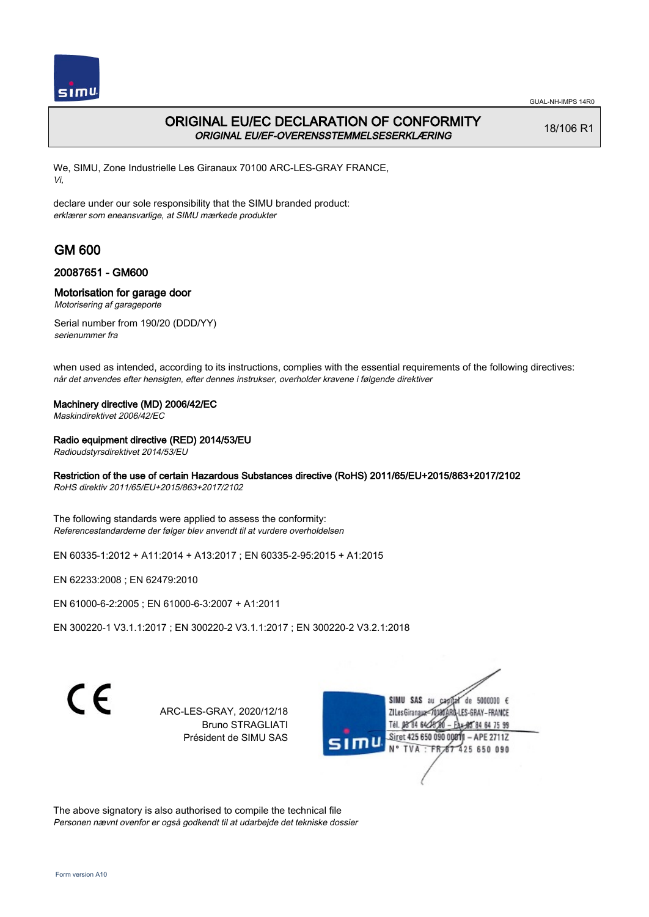

# ORIGINAL EU/EC DECLARATION OF CONFORMITY ORIGINAL EU/EF-OVERENSSTEMMELSESERKLÆRING

18/106 R1

We, SIMU, Zone Industrielle Les Giranaux 70100 ARC-LES-GRAY FRANCE, Vi,

declare under our sole responsibility that the SIMU branded product: erklærer som eneansvarlige, at SIMU mærkede produkter

# GM 600

### 20087651 - GM600

### Motorisation for garage door

Motorisering af garageporte

Serial number from 190/20 (DDD/YY) serienummer fra

when used as intended, according to its instructions, complies with the essential requirements of the following directives: når det anvendes efter hensigten, efter dennes instrukser, overholder kravene i følgende direktiver

### Machinery directive (MD) 2006/42/EC

Maskindirektivet 2006/42/EC

### Radio equipment directive (RED) 2014/53/EU

Radioudstyrsdirektivet 2014/53/EU

### Restriction of the use of certain Hazardous Substances directive (RoHS) 2011/65/EU+2015/863+2017/2102

RoHS direktiv 2011/65/EU+2015/863+2017/2102

The following standards were applied to assess the conformity: Referencestandarderne der følger blev anvendt til at vurdere overholdelsen

EN 60335‑1:2012 + A11:2014 + A13:2017 ; EN 60335‑2‑95:2015 + A1:2015

EN 62233:2008 ; EN 62479:2010

EN 61000‑6‑2:2005 ; EN 61000‑6‑3:2007 + A1:2011

EN 300220‑1 V3.1.1:2017 ; EN 300220‑2 V3.1.1:2017 ; EN 300220‑2 V3.2.1:2018

 $\epsilon$ 

ARC-LES-GRAY, 2020/12/18 Bruno STRAGLIATI Président de SIMU SAS

de 5000000  $\epsilon$ **ZILesGiranaux** ES-GRAY-FRANCE 85 84 64 75 99 Siret 425 650 090 00811 - APE 2711Z 425 650 090

The above signatory is also authorised to compile the technical file Personen nævnt ovenfor er også godkendt til at udarbejde det tekniske dossier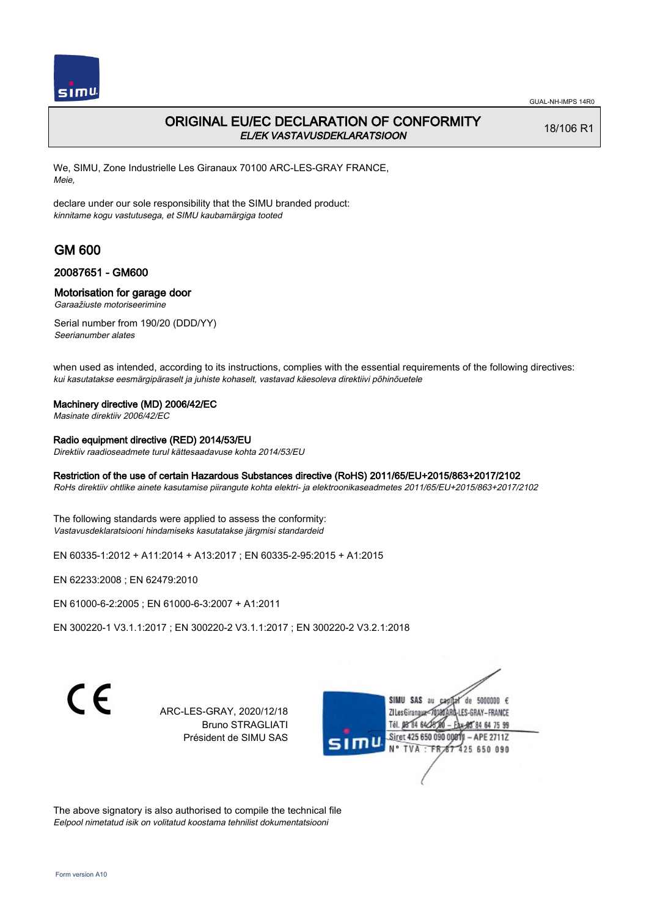

## ORIGINAL EU/EC DECLARATION OF CONFORMITY EL/EK VASTAVUSDEKLARATSIOON

18/106 R1

We, SIMU, Zone Industrielle Les Giranaux 70100 ARC-LES-GRAY FRANCE, Meie,

declare under our sole responsibility that the SIMU branded product: kinnitame kogu vastutusega, et SIMU kaubamärgiga tooted

# GM 600

#### 20087651 - GM600

#### Motorisation for garage door

Garaažiuste motoriseerimine

Serial number from 190/20 (DDD/YY) Seerianumber alates

when used as intended, according to its instructions, complies with the essential requirements of the following directives: kui kasutatakse eesmärgipäraselt ja juhiste kohaselt, vastavad käesoleva direktiivi põhinõuetele

#### Machinery directive (MD) 2006/42/EC

Masinate direktiiv 2006/42/EC

#### Radio equipment directive (RED) 2014/53/EU

Direktiiv raadioseadmete turul kättesaadavuse kohta 2014/53/EU

#### Restriction of the use of certain Hazardous Substances directive (RoHS) 2011/65/EU+2015/863+2017/2102

RoHs direktiiv ohtlike ainete kasutamise piirangute kohta elektri- ja elektroonikaseadmetes 2011/65/EU+2015/863+2017/2102

The following standards were applied to assess the conformity: Vastavusdeklaratsiooni hindamiseks kasutatakse järgmisi standardeid

EN 60335‑1:2012 + A11:2014 + A13:2017 ; EN 60335‑2‑95:2015 + A1:2015

EN 62233:2008 ; EN 62479:2010

EN 61000‑6‑2:2005 ; EN 61000‑6‑3:2007 + A1:2011

EN 300220‑1 V3.1.1:2017 ; EN 300220‑2 V3.1.1:2017 ; EN 300220‑2 V3.2.1:2018

 $\epsilon$ 

ARC-LES-GRAY, 2020/12/18 Bruno STRAGLIATI Président de SIMU SAS

de 5000000  $\epsilon$ **ZILes Giranaua** ES-GRAY-FRANCE 84 64 75 99 Siret 425 650 090 00811 - APE 2711Z 425 650 090

The above signatory is also authorised to compile the technical file Eelpool nimetatud isik on volitatud koostama tehnilist dokumentatsiooni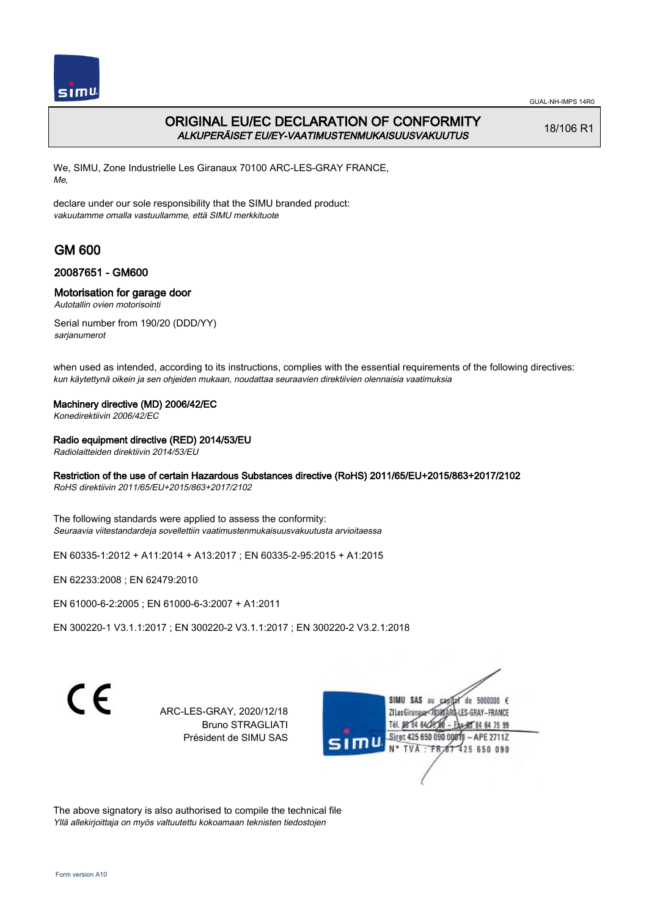

# ORIGINAL EU/EC DECLARATION OF CONFORMITY ALKUPERÄISET EU/EY-VAATIMUSTENMUKAISUUSVAKUUTUS

18/106 R1

We, SIMU, Zone Industrielle Les Giranaux 70100 ARC-LES-GRAY FRANCE, Me,

declare under our sole responsibility that the SIMU branded product: vakuutamme omalla vastuullamme, että SIMU merkkituote

# GM 600

### 20087651 - GM600

### Motorisation for garage door

Autotallin ovien motorisointi

Serial number from 190/20 (DDD/YY) sarjanumerot

when used as intended, according to its instructions, complies with the essential requirements of the following directives: kun käytettynä oikein ja sen ohjeiden mukaan, noudattaa seuraavien direktiivien olennaisia vaatimuksia

### Machinery directive (MD) 2006/42/EC

Konedirektiivin 2006/42/EC

### Radio equipment directive (RED) 2014/53/EU

Radiolaitteiden direktiivin 2014/53/EU

### Restriction of the use of certain Hazardous Substances directive (RoHS) 2011/65/EU+2015/863+2017/2102

RoHS direktiivin 2011/65/EU+2015/863+2017/2102

The following standards were applied to assess the conformity: Seuraavia viitestandardeja sovellettiin vaatimustenmukaisuusvakuutusta arvioitaessa

EN 60335‑1:2012 + A11:2014 + A13:2017 ; EN 60335‑2‑95:2015 + A1:2015

EN 62233:2008 ; EN 62479:2010

EN 61000‑6‑2:2005 ; EN 61000‑6‑3:2007 + A1:2011

EN 300220‑1 V3.1.1:2017 ; EN 300220‑2 V3.1.1:2017 ; EN 300220‑2 V3.2.1:2018

 $\epsilon$ 

ARC-LES-GRAY, 2020/12/18 Bruno STRAGLIATI Président de SIMU SAS

de 5000000  $\epsilon$ **ZILesGiranaux** ES-GRAY-FRANCE 584 64 75 99 Siret 425 650 090 00811 - APE 2711Z 425 650 090

The above signatory is also authorised to compile the technical file Yllä allekirjoittaja on myös valtuutettu kokoamaan teknisten tiedostojen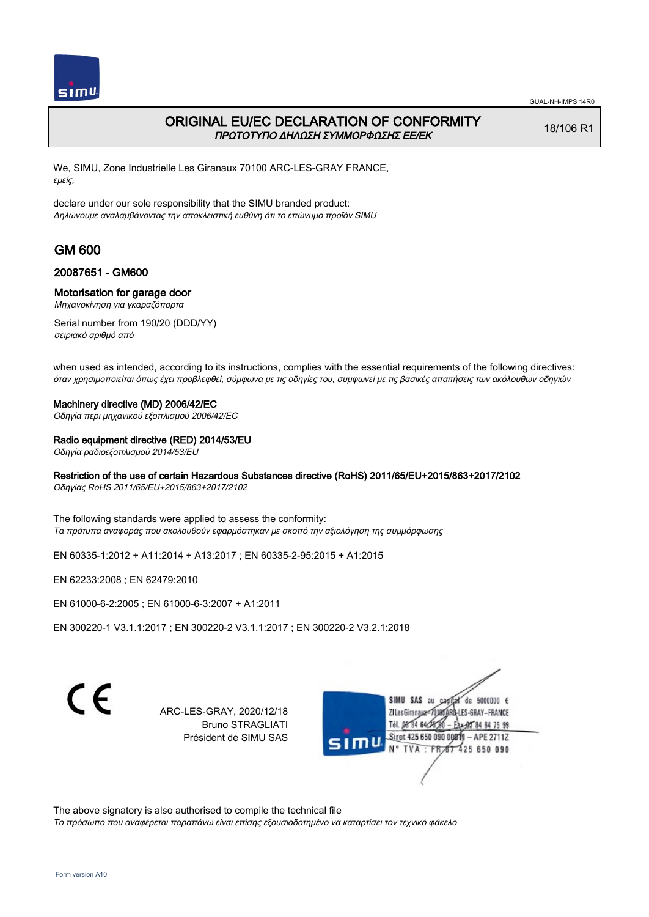

## ORIGINAL EU/EC DECLARATION OF CONFORMITY ΠΡΩΤΟΤΥΠΟ ΔΗΛΩΣΗ ΣΥΜΜΟΡΦΩΣΗΣ ΕΕ/EK

18/106 R1

We, SIMU, Zone Industrielle Les Giranaux 70100 ARC-LES-GRAY FRANCE, εμείς,

declare under our sole responsibility that the SIMU branded product: Δηλώνουμε αναλαμβάνοντας την αποκλειστική ευθύνη ότι το επώνυμο προϊόν SIMU

# GM 600

### 20087651 - GM600

#### Motorisation for garage door

Μηχανοκίνηση για γκαραζόπορτα

Serial number from 190/20 (DDD/YY) σειριακό αριθμό από

when used as intended, according to its instructions, complies with the essential requirements of the following directives: όταν χρησιμοποιείται όπως έχει προβλεφθεί, σύμφωνα με τις οδηγίες του, συμφωνεί με τις βασικές απαιτήσεις των ακόλουθων οδηγιών

#### Machinery directive (MD) 2006/42/EC

Οδηγία περι μηχανικού εξοπλισμού 2006/42/EC

#### Radio equipment directive (RED) 2014/53/EU

Οδηγία ραδιοεξοπλισμού 2014/53/EU

### Restriction of the use of certain Hazardous Substances directive (RoHS) 2011/65/EU+2015/863+2017/2102

Οδηγίας RoHS 2011/65/EU+2015/863+2017/2102

The following standards were applied to assess the conformity: Τα πρότυπα αναφοράς που ακολουθούν εφαρμόστηκαν με σκοπό την αξιολόγηση της συμμόρφωσης

EN 60335‑1:2012 + A11:2014 + A13:2017 ; EN 60335‑2‑95:2015 + A1:2015

EN 62233:2008 ; EN 62479:2010

EN 61000‑6‑2:2005 ; EN 61000‑6‑3:2007 + A1:2011

EN 300220‑1 V3.1.1:2017 ; EN 300220‑2 V3.1.1:2017 ; EN 300220‑2 V3.2.1:2018

C F

ARC-LES-GRAY, 2020/12/18 Bruno STRAGLIATI Président de SIMU SAS

de 5000000  $\epsilon$ **ZI Les Giranaux** ES-GRAY-FRANCE Tél. 08 84 64 24 85 84 64 75 99 Siret 425 650 090 00811 - APE 2711Z 425 650 090

The above signatory is also authorised to compile the technical file

Το πρόσωπο που αναφέρεται παραπάνω είναι επίσης εξουσιοδοτημένο να καταρτίσει τον τεχνικό φάκελο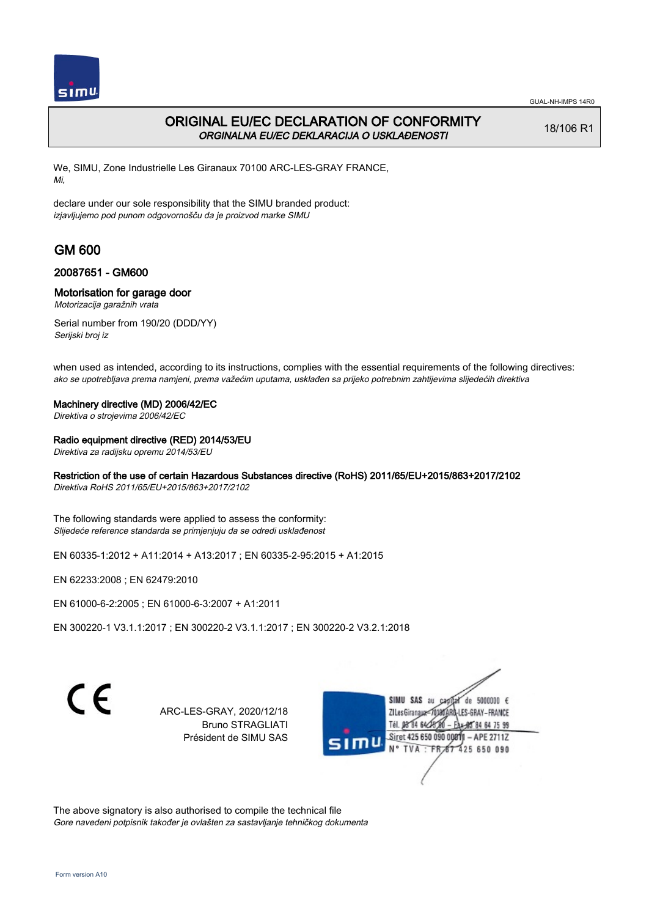

# ORIGINAL EU/EC DECLARATION OF CONFORMITY ORGINALNA EU/EC DEKLARACIJA O USKLAĐENOSTI

18/106 R1

We, SIMU, Zone Industrielle Les Giranaux 70100 ARC-LES-GRAY FRANCE, Mi,

declare under our sole responsibility that the SIMU branded product: izjavljujemo pod punom odgovornošču da je proizvod marke SIMU

# GM 600

### 20087651 - GM600

### Motorisation for garage door

Motorizacija garažnih vrata

Serial number from 190/20 (DDD/YY) Serijski broj iz

when used as intended, according to its instructions, complies with the essential requirements of the following directives: ako se upotrebljava prema namjeni, prema važećim uputama, usklađen sa prijeko potrebnim zahtijevima slijedećih direktiva

#### Machinery directive (MD) 2006/42/EC

Direktiva o strojevima 2006/42/EC

### Radio equipment directive (RED) 2014/53/EU

Direktiva za radijsku opremu 2014/53/EU

### Restriction of the use of certain Hazardous Substances directive (RoHS) 2011/65/EU+2015/863+2017/2102

Direktiva RoHS 2011/65/EU+2015/863+2017/2102

The following standards were applied to assess the conformity: Slijedeće reference standarda se primjenjuju da se odredi usklađenost

EN 60335‑1:2012 + A11:2014 + A13:2017 ; EN 60335‑2‑95:2015 + A1:2015

EN 62233:2008 ; EN 62479:2010

EN 61000‑6‑2:2005 ; EN 61000‑6‑3:2007 + A1:2011

EN 300220‑1 V3.1.1:2017 ; EN 300220‑2 V3.1.1:2017 ; EN 300220‑2 V3.2.1:2018

 $\epsilon$ 

ARC-LES-GRAY, 2020/12/18 Bruno STRAGLIATI Président de SIMU SAS

de 5000000  $\epsilon$ **ZILesGiranaux** ES-GRAY-FRANCE 85 84 64 75 99 Siret 425 650 090 00811 - APE 2711Z 425 650 090

The above signatory is also authorised to compile the technical file Gore navedeni potpisnik također je ovlašten za sastavljanje tehničkog dokumenta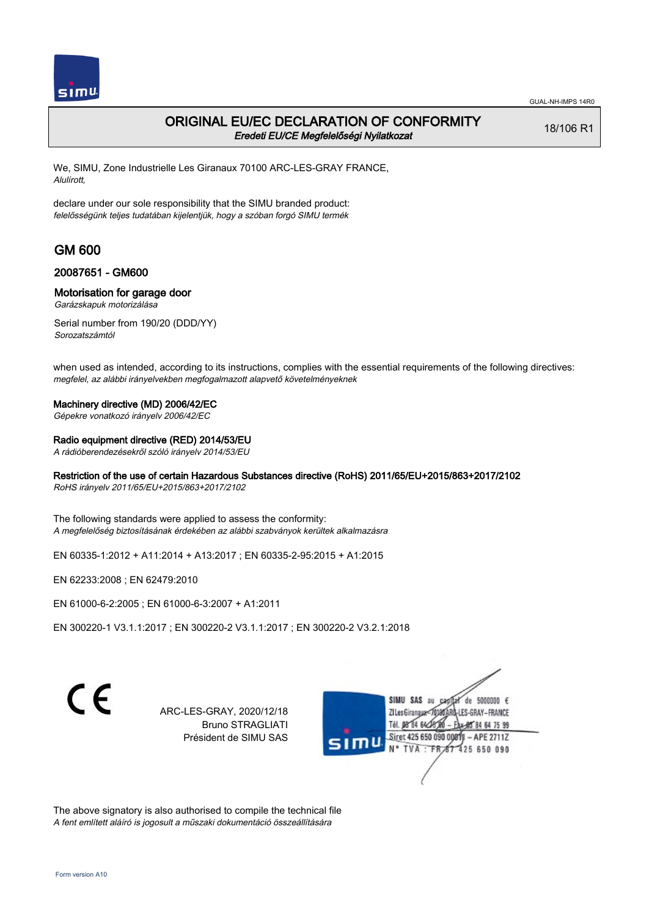

### ORIGINAL EU/EC DECLARATION OF CONFORMITY Eredeti EU/CE Megfelelőségi Nyilatkozat

18/106 R1

We, SIMU, Zone Industrielle Les Giranaux 70100 ARC-LES-GRAY FRANCE, Alulírott,

declare under our sole responsibility that the SIMU branded product: felelősségünk teljes tudatában kijelentjük, hogy a szóban forgó SIMU termék

# GM 600

### 20087651 - GM600

#### Motorisation for garage door

Garázskapuk motorizálása

Serial number from 190/20 (DDD/YY) Sorozatszámtól

when used as intended, according to its instructions, complies with the essential requirements of the following directives: megfelel, az alábbi irányelvekben megfogalmazott alapvető követelményeknek

### Machinery directive (MD) 2006/42/EC

Gépekre vonatkozó irányelv 2006/42/EC

### Radio equipment directive (RED) 2014/53/EU

A rádióberendezésekről szóló irányelv 2014/53/EU

### Restriction of the use of certain Hazardous Substances directive (RoHS) 2011/65/EU+2015/863+2017/2102

RoHS irányelv 2011/65/EU+2015/863+2017/2102

The following standards were applied to assess the conformity: A megfelelőség biztosításának érdekében az alábbi szabványok kerültek alkalmazásra

EN 60335‑1:2012 + A11:2014 + A13:2017 ; EN 60335‑2‑95:2015 + A1:2015

EN 62233:2008 ; EN 62479:2010

EN 61000‑6‑2:2005 ; EN 61000‑6‑3:2007 + A1:2011

EN 300220‑1 V3.1.1:2017 ; EN 300220‑2 V3.1.1:2017 ; EN 300220‑2 V3.2.1:2018

 $\epsilon$ 

ARC-LES-GRAY, 2020/12/18 Bruno STRAGLIATI Président de SIMU SAS

de 5000000  $\epsilon$ **ZILesGiranaua** ES-GRAY-FRANCE 84 64 75 99 Siret 425 650 090 00811 - APE 2711Z 425 650 090

The above signatory is also authorised to compile the technical file A fent említett aláíró is jogosult a műszaki dokumentáció összeállítására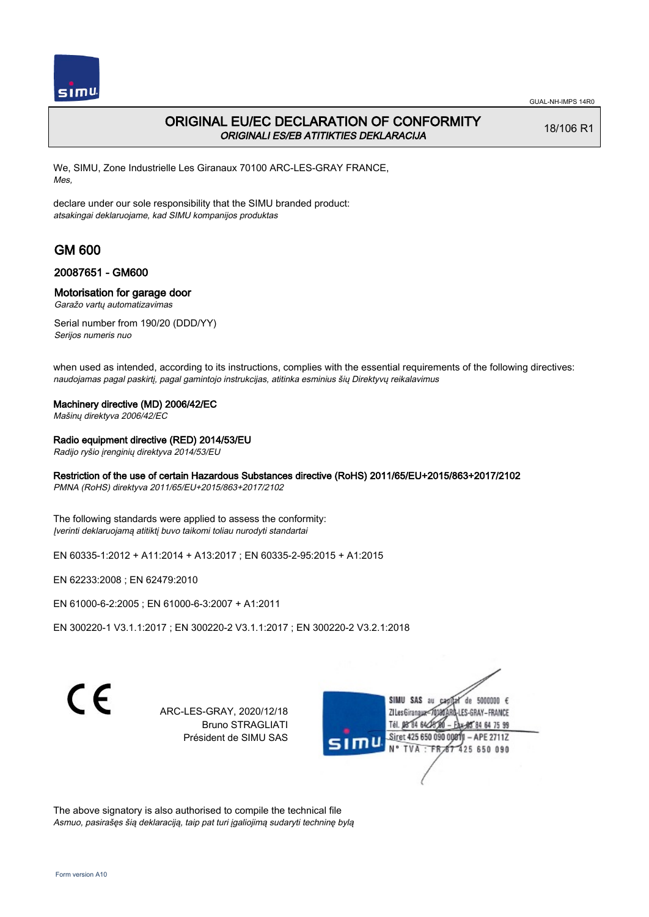

## ORIGINAL EU/EC DECLARATION OF CONFORMITY ORIGINALI ES/EB ATITIKTIES DEKLARACIJA

18/106 R1

We, SIMU, Zone Industrielle Les Giranaux 70100 ARC-LES-GRAY FRANCE, Mes,

declare under our sole responsibility that the SIMU branded product: atsakingai deklaruojame, kad SIMU kompanijos produktas

# GM 600

### 20087651 - GM600

#### Motorisation for garage door

Garažo vartų automatizavimas

Serial number from 190/20 (DDD/YY) Serijos numeris nuo

when used as intended, according to its instructions, complies with the essential requirements of the following directives: naudojamas pagal paskirtį, pagal gamintojo instrukcijas, atitinka esminius šių Direktyvų reikalavimus

#### Machinery directive (MD) 2006/42/EC

Mašinų direktyva 2006/42/EC

#### Radio equipment directive (RED) 2014/53/EU

Radijo ryšio įrenginių direktyva 2014/53/EU

### Restriction of the use of certain Hazardous Substances directive (RoHS) 2011/65/EU+2015/863+2017/2102

PMNA (RoHS) direktyva 2011/65/EU+2015/863+2017/2102

The following standards were applied to assess the conformity: Įverinti deklaruojamą atitiktį buvo taikomi toliau nurodyti standartai

EN 60335‑1:2012 + A11:2014 + A13:2017 ; EN 60335‑2‑95:2015 + A1:2015

EN 62233:2008 ; EN 62479:2010

EN 61000‑6‑2:2005 ; EN 61000‑6‑3:2007 + A1:2011

EN 300220‑1 V3.1.1:2017 ; EN 300220‑2 V3.1.1:2017 ; EN 300220‑2 V3.2.1:2018

 $\epsilon$ 

ARC-LES-GRAY, 2020/12/18 Bruno STRAGLIATI Président de SIMU SAS

de 5000000  $\epsilon$ **ZILesGiranaux** ES-GRAY-FRANCE Tél. 08 84 64 2 85 84 64 75 99 Siret 425 650 090 00811 - APE 2711Z 425 650 090 **TVA** 

The above signatory is also authorised to compile the technical file Asmuo, pasirašęs šią deklaraciją, taip pat turi įgaliojimą sudaryti techninę bylą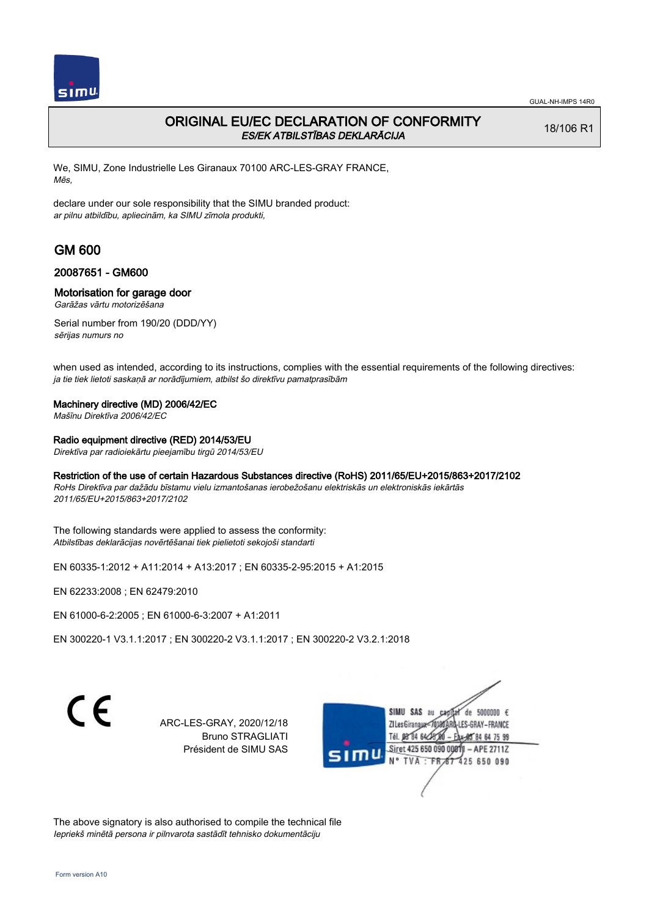

# ORIGINAL EU/EC DECLARATION OF CONFORMITY ES/EK ATBILSTĪBAS DEKLARĀCIJA

18/106 R1

We, SIMU, Zone Industrielle Les Giranaux 70100 ARC-LES-GRAY FRANCE, Mēs,

declare under our sole responsibility that the SIMU branded product: ar pilnu atbildību, apliecinām, ka SIMU zīmola produkti,

# GM 600

### 20087651 - GM600

### Motorisation for garage door

Garāžas vārtu motorizēšana

Serial number from 190/20 (DDD/YY) sērijas numurs no

when used as intended, according to its instructions, complies with the essential requirements of the following directives: ja tie tiek lietoti saskaņā ar norādījumiem, atbilst šo direktīvu pamatprasībām

### Machinery directive (MD) 2006/42/EC

Mašīnu Direktīva 2006/42/EC

Radio equipment directive (RED) 2014/53/EU

Direktīva par radioiekārtu pieejamību tirgū 2014/53/EU

#### Restriction of the use of certain Hazardous Substances directive (RoHS) 2011/65/EU+2015/863+2017/2102

RoHs Direktīva par dažādu bīstamu vielu izmantošanas ierobežošanu elektriskās un elektroniskās iekārtās 2011/65/EU+2015/863+2017/2102

The following standards were applied to assess the conformity: Atbilstības deklarācijas novērtēšanai tiek pielietoti sekojoši standarti

EN 60335‑1:2012 + A11:2014 + A13:2017 ; EN 60335‑2‑95:2015 + A1:2015

EN 62233:2008 ; EN 62479:2010

EN 61000‑6‑2:2005 ; EN 61000‑6‑3:2007 + A1:2011

EN 300220‑1 V3.1.1:2017 ; EN 300220‑2 V3.1.1:2017 ; EN 300220‑2 V3.2.1:2018

C F

ARC-LES-GRAY, 2020/12/18 Bruno STRAGLIATI Président de SIMU SAS



The above signatory is also authorised to compile the technical file Iepriekš minētā persona ir pilnvarota sastādīt tehnisko dokumentāciju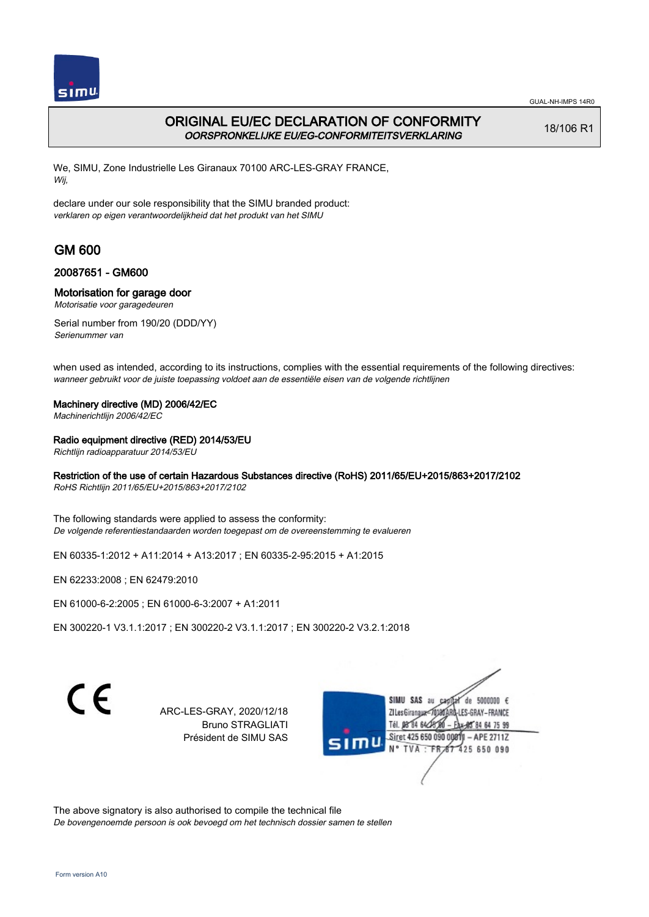

# ORIGINAL EU/EC DECLARATION OF CONFORMITY OORSPRONKELIJKE EU/EG-CONFORMITEITSVERKLARING

18/106 R1

We, SIMU, Zone Industrielle Les Giranaux 70100 ARC-LES-GRAY FRANCE, Wij,

declare under our sole responsibility that the SIMU branded product: verklaren op eigen verantwoordelijkheid dat het produkt van het SIMU

# GM 600

### 20087651 - GM600

### Motorisation for garage door

Motorisatie voor garagedeuren

Serial number from 190/20 (DDD/YY) Serienummer van

when used as intended, according to its instructions, complies with the essential requirements of the following directives: wanneer gebruikt voor de juiste toepassing voldoet aan de essentiële eisen van de volgende richtlijnen

#### Machinery directive (MD) 2006/42/EC

Machinerichtlijn 2006/42/EC

### Radio equipment directive (RED) 2014/53/EU

Richtlijn radioapparatuur 2014/53/EU

### Restriction of the use of certain Hazardous Substances directive (RoHS) 2011/65/EU+2015/863+2017/2102

RoHS Richtlijn 2011/65/EU+2015/863+2017/2102

The following standards were applied to assess the conformity: De volgende referentiestandaarden worden toegepast om de overeenstemming te evalueren

EN 60335‑1:2012 + A11:2014 + A13:2017 ; EN 60335‑2‑95:2015 + A1:2015

EN 62233:2008 ; EN 62479:2010

EN 61000‑6‑2:2005 ; EN 61000‑6‑3:2007 + A1:2011

EN 300220‑1 V3.1.1:2017 ; EN 300220‑2 V3.1.1:2017 ; EN 300220‑2 V3.2.1:2018

 $\epsilon$ 

ARC-LES-GRAY, 2020/12/18 Bruno STRAGLIATI Président de SIMU SAS

de 5000000  $\epsilon$ **ZILesGiranaux** ES-GRAY-FRANCE 84 64 75 99 Siret 425 650 090 00811 - APE 2711Z 425 650 090

The above signatory is also authorised to compile the technical file De bovengenoemde persoon is ook bevoegd om het technisch dossier samen te stellen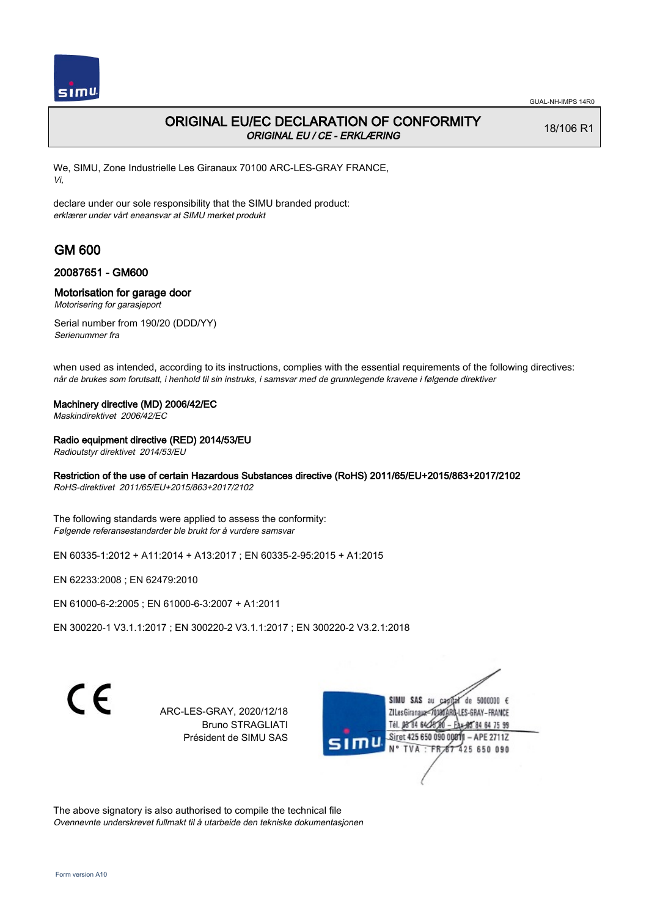

## ORIGINAL EU/EC DECLARATION OF CONFORMITY ORIGINAL EU / CE - ERKLÆRING

18/106 R1

We, SIMU, Zone Industrielle Les Giranaux 70100 ARC-LES-GRAY FRANCE, Vi,

declare under our sole responsibility that the SIMU branded product: erklærer under vårt eneansvar at SIMU merket produkt

# GM 600

### 20087651 - GM600

#### Motorisation for garage door

Motorisering for garasjeport

Serial number from 190/20 (DDD/YY) Serienummer fra

when used as intended, according to its instructions, complies with the essential requirements of the following directives: når de brukes som forutsatt, i henhold til sin instruks, i samsvar med de grunnlegende kravene i følgende direktiver

#### Machinery directive (MD) 2006/42/EC

Maskindirektivet 2006/42/EC

#### Radio equipment directive (RED) 2014/53/EU

Radioutstyr direktivet 2014/53/EU

### Restriction of the use of certain Hazardous Substances directive (RoHS) 2011/65/EU+2015/863+2017/2102

RoHS-direktivet 2011/65/EU+2015/863+2017/2102

The following standards were applied to assess the conformity: Følgende referansestandarder ble brukt for å vurdere samsvar

EN 60335‑1:2012 + A11:2014 + A13:2017 ; EN 60335‑2‑95:2015 + A1:2015

EN 62233:2008 ; EN 62479:2010

EN 61000‑6‑2:2005 ; EN 61000‑6‑3:2007 + A1:2011

EN 300220‑1 V3.1.1:2017 ; EN 300220‑2 V3.1.1:2017 ; EN 300220‑2 V3.2.1:2018

 $\epsilon$ 

ARC-LES-GRAY, 2020/12/18 Bruno STRAGLIATI Président de SIMU SAS

de 5000000  $\epsilon$ **ZILesGiranaux** ES-GRAY-FRANCE 85 84 64 75 99 Siret 425 650 090 00811 - APE 2711Z 425 650 090

The above signatory is also authorised to compile the technical file Ovennevnte underskrevet fullmakt til å utarbeide den tekniske dokumentasjonen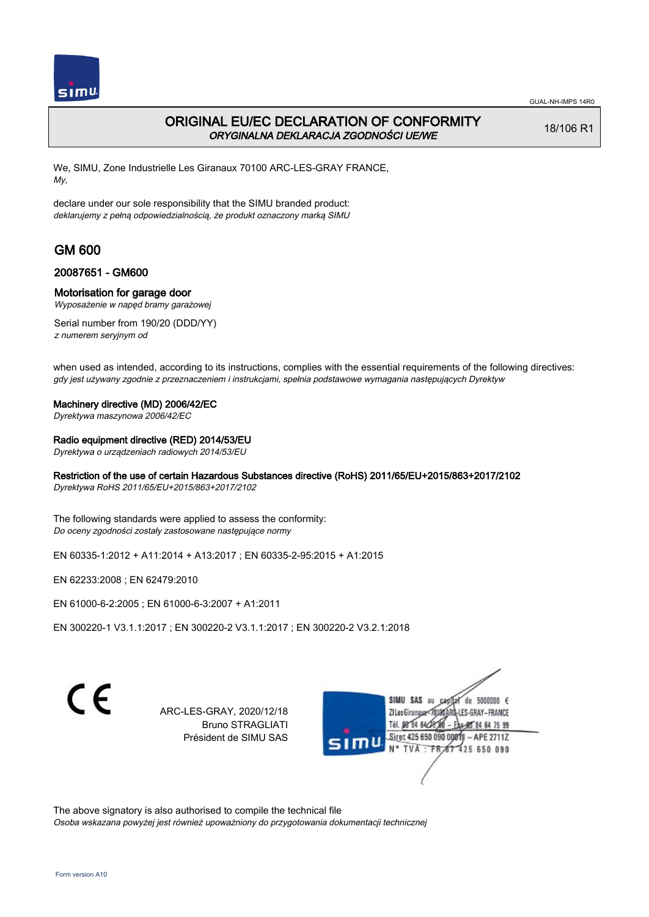

## ORIGINAL EU/EC DECLARATION OF CONFORMITY ORYGINALNA DEKLARACJA ZGODNOŚCI UE/WE

18/106 R1

We, SIMU, Zone Industrielle Les Giranaux 70100 ARC-LES-GRAY FRANCE, My,

declare under our sole responsibility that the SIMU branded product: deklarujemy z pełną odpowiedzialnością, że produkt oznaczony marką SIMU

# GM 600

### 20087651 - GM600

#### Motorisation for garage door

Wyposażenie w napęd bramy garażowej

Serial number from 190/20 (DDD/YY) z numerem seryjnym od

when used as intended, according to its instructions, complies with the essential requirements of the following directives: gdy jest używany zgodnie z przeznaczeniem i instrukcjami, spełnia podstawowe wymagania następujących Dyrektyw

#### Machinery directive (MD) 2006/42/EC

Dyrektywa maszynowa 2006/42/EC

#### Radio equipment directive (RED) 2014/53/EU

Dyrektywa o urządzeniach radiowych 2014/53/EU

### Restriction of the use of certain Hazardous Substances directive (RoHS) 2011/65/EU+2015/863+2017/2102

Dyrektywa RoHS 2011/65/EU+2015/863+2017/2102

The following standards were applied to assess the conformity: Do oceny zgodności zostały zastosowane następujące normy

EN 60335‑1:2012 + A11:2014 + A13:2017 ; EN 60335‑2‑95:2015 + A1:2015

EN 62233:2008 ; EN 62479:2010

EN 61000‑6‑2:2005 ; EN 61000‑6‑3:2007 + A1:2011

EN 300220‑1 V3.1.1:2017 ; EN 300220‑2 V3.1.1:2017 ; EN 300220‑2 V3.2.1:2018

C F

ARC-LES-GRAY, 2020/12/18 Bruno STRAGLIATI Président de SIMU SAS

de 5000000  $\epsilon$ **ZILesGiranaux** ES-GRAY-FRANCE Tél. 08 84 64 2 85 84 64 75 99 Siret 425 650 090 00811 - APE 2711Z 425 650 090 **TVA** 

The above signatory is also authorised to compile the technical file Osoba wskazana powyżej jest również upoważniony do przygotowania dokumentacji technicznej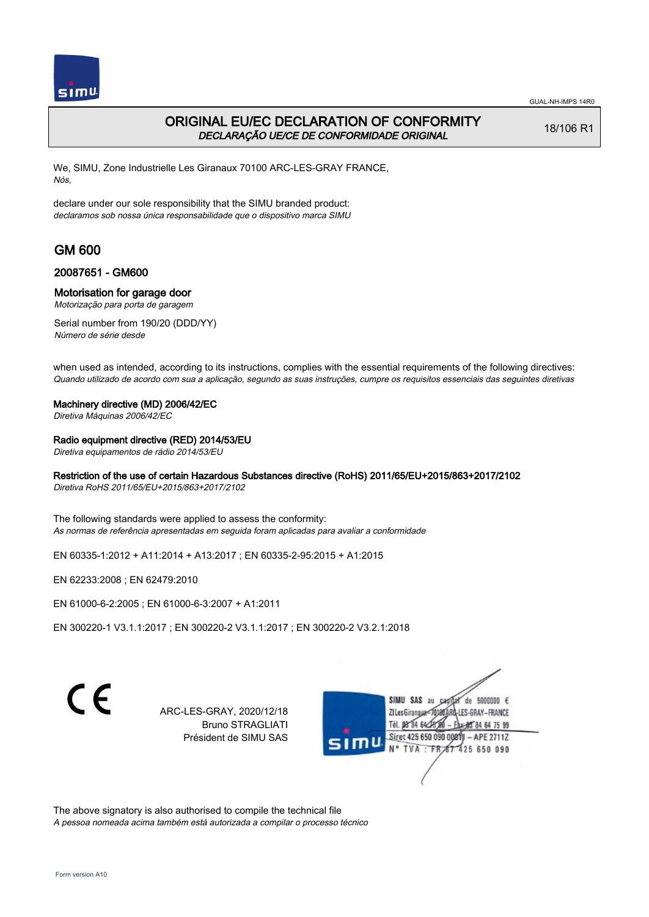

## ORIGINAL EU/EC DECLARATION OF CONFORMITY DECLARAÇÃO UE/CE DE CONFORMIDADE ORIGINAL

18/106 R1

We, SIMU, Zone Industrielle Les Giranaux 70100 ARC-LES-GRAY FRANCE, Nós,

declare under our sole responsibility that the SIMU branded product: declaramos sob nossa única responsabilidade que o dispositivo marca SIMU

# GM 600

#### 20087651 - GM600

### Motorisation for garage door

Motorização para porta de garagem

Serial number from 190/20 (DDD/YY) Número de série desde

when used as intended, according to its instructions, complies with the essential requirements of the following directives: Quando utilizado de acordo com sua a aplicação, segundo as suas instruções, cumpre os requisitos essenciais das seguintes diretivas

#### Machinery directive (MD) 2006/42/EC

Diretiva Máquinas 2006/42/EC

#### Radio equipment directive (RED) 2014/53/EU

Diretiva equipamentos de rádio 2014/53/EU

### Restriction of the use of certain Hazardous Substances directive (RoHS) 2011/65/EU+2015/863+2017/2102

Diretiva RoHS 2011/65/EU+2015/863+2017/2102

The following standards were applied to assess the conformity: As normas de referência apresentadas em seguida foram aplicadas para avaliar a conformidade

EN 60335‑1:2012 + A11:2014 + A13:2017 ; EN 60335‑2‑95:2015 + A1:2015

EN 62233:2008 ; EN 62479:2010

EN 61000‑6‑2:2005 ; EN 61000‑6‑3:2007 + A1:2011

EN 300220‑1 V3.1.1:2017 ; EN 300220‑2 V3.1.1:2017 ; EN 300220‑2 V3.2.1:2018

 $\epsilon$ 

ARC-LES-GRAY, 2020/12/18 Bruno STRAGLIATI Président de SIMU SAS

de 5000000  $\epsilon$ **ZILes Giranaux** ES-GRAY-FRANCE 84 64 75 99 Siret 425 650 090 00811 - APE 2711Z 425 650 090

The above signatory is also authorised to compile the technical file A pessoa nomeada acima também está autorizada a compilar o processo técnico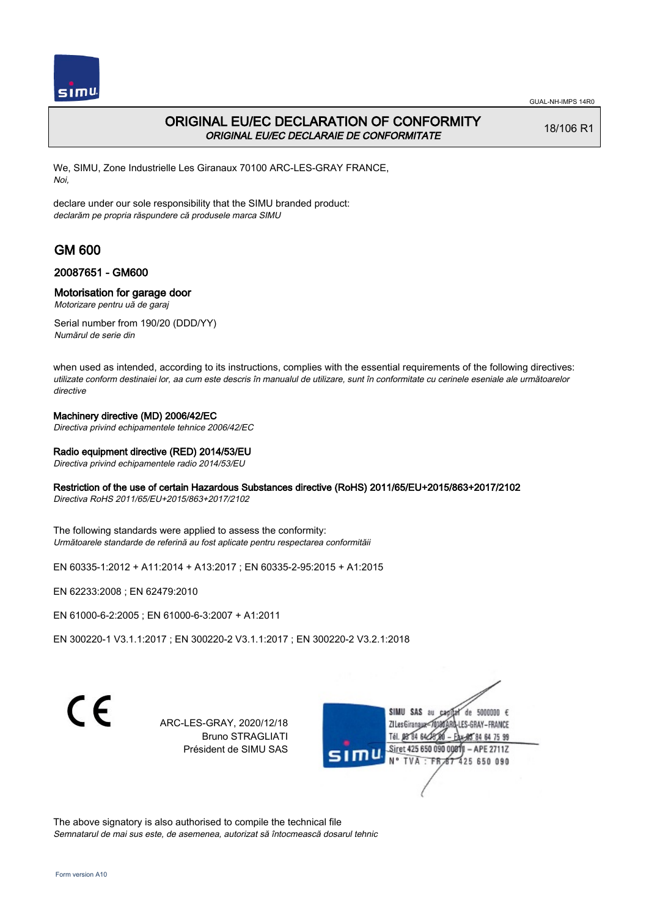

# ORIGINAL EU/EC DECLARATION OF CONFORMITY ORIGINAL EU/EC DECLARAIE DE CONFORMITATE

18/106 R1

We, SIMU, Zone Industrielle Les Giranaux 70100 ARC-LES-GRAY FRANCE, Noi,

declare under our sole responsibility that the SIMU branded product: declarăm pe propria răspundere că produsele marca SIMU

# GM 600

### 20087651 - GM600

### Motorisation for garage door

Motorizare pentru uă de garaj

Serial number from 190/20 (DDD/YY) Numărul de serie din

when used as intended, according to its instructions, complies with the essential requirements of the following directives: utilizate conform destinaiei lor, aa cum este descris în manualul de utilizare, sunt în conformitate cu cerinele eseniale ale următoarelor directive

### Machinery directive (MD) 2006/42/EC

Directiva privind echipamentele tehnice 2006/42/EC

### Radio equipment directive (RED) 2014/53/EU

Directiva privind echipamentele radio 2014/53/EU

### Restriction of the use of certain Hazardous Substances directive (RoHS) 2011/65/EU+2015/863+2017/2102

Directiva RoHS 2011/65/EU+2015/863+2017/2102

The following standards were applied to assess the conformity: Următoarele standarde de referină au fost aplicate pentru respectarea conformităii

EN 60335‑1:2012 + A11:2014 + A13:2017 ; EN 60335‑2‑95:2015 + A1:2015

EN 62233:2008 ; EN 62479:2010

EN 61000‑6‑2:2005 ; EN 61000‑6‑3:2007 + A1:2011

EN 300220‑1 V3.1.1:2017 ; EN 300220‑2 V3.1.1:2017 ; EN 300220‑2 V3.2.1:2018

C F

ARC-LES-GRAY, 2020/12/18 Bruno STRAGLIATI Président de SIMU SAS



The above signatory is also authorised to compile the technical file Semnatarul de mai sus este, de asemenea, autorizat să întocmească dosarul tehnic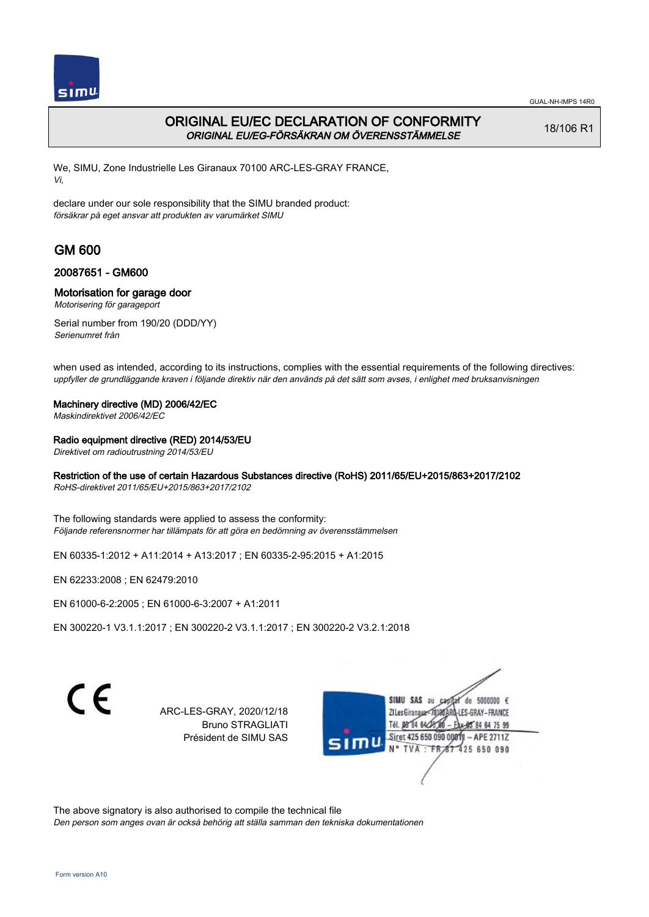

# ORIGINAL EU/EC DECLARATION OF CONFORMITY ORIGINAL EU/EG-FÖRSÄKRAN OM ÖVERENSSTÄMMELSE

18/106 R1

We, SIMU, Zone Industrielle Les Giranaux 70100 ARC-LES-GRAY FRANCE, Vi,

declare under our sole responsibility that the SIMU branded product: försäkrar på eget ansvar att produkten av varumärket SIMU

# GM 600

### 20087651 - GM600

### Motorisation for garage door

Motorisering för garageport

Serial number from 190/20 (DDD/YY) Serienumret från

when used as intended, according to its instructions, complies with the essential requirements of the following directives: uppfyller de grundläggande kraven i följande direktiv när den används på det sätt som avses, i enlighet med bruksanvisningen

### Machinery directive (MD) 2006/42/EC

Maskindirektivet 2006/42/EC

### Radio equipment directive (RED) 2014/53/EU

Direktivet om radioutrustning 2014/53/EU

### Restriction of the use of certain Hazardous Substances directive (RoHS) 2011/65/EU+2015/863+2017/2102

RoHS-direktivet 2011/65/EU+2015/863+2017/2102

The following standards were applied to assess the conformity: Följande referensnormer har tillämpats för att göra en bedömning av överensstämmelsen

EN 60335‑1:2012 + A11:2014 + A13:2017 ; EN 60335‑2‑95:2015 + A1:2015

EN 62233:2008 ; EN 62479:2010

EN 61000‑6‑2:2005 ; EN 61000‑6‑3:2007 + A1:2011

EN 300220‑1 V3.1.1:2017 ; EN 300220‑2 V3.1.1:2017 ; EN 300220‑2 V3.2.1:2018

 $\epsilon$ 

ARC-LES-GRAY, 2020/12/18 Bruno STRAGLIATI Président de SIMU SAS

de 5000000  $\epsilon$ **ZILesGiranaua** ES-GRAY-FRANCE 84 64 75 99 Siret 425 650 090 00811 - APE 2711Z 425 650 090 **TVA** 

The above signatory is also authorised to compile the technical file Den person som anges ovan är också behörig att ställa samman den tekniska dokumentationen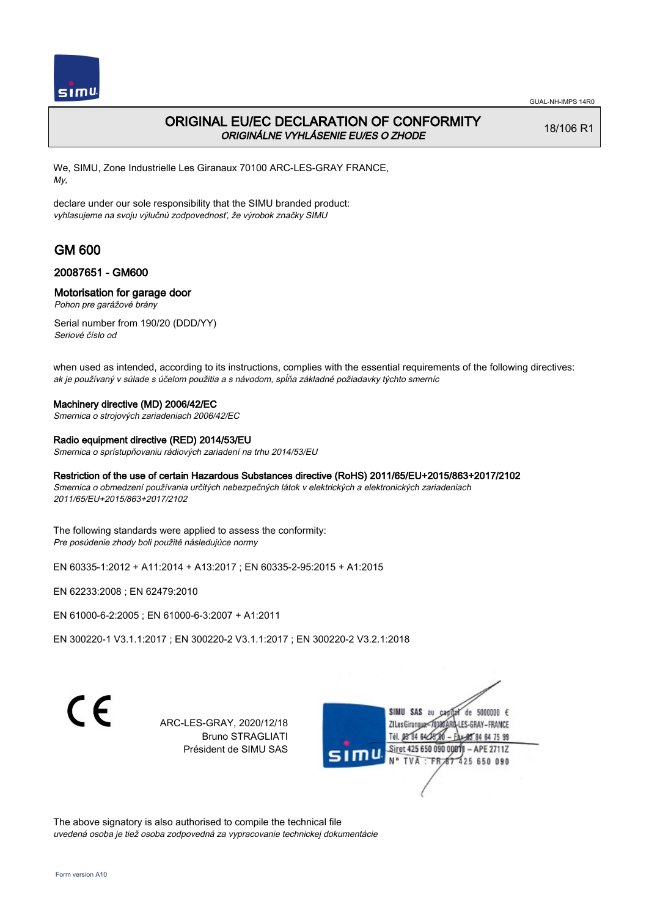

# ORIGINAL EU/EC DECLARATION OF CONFORMITY ORIGINÁLNE VYHLÁSENIE EU/ES O ZHODE

18/106 R1

We, SIMU, Zone Industrielle Les Giranaux 70100 ARC-LES-GRAY FRANCE, My,

declare under our sole responsibility that the SIMU branded product: vyhlasujeme na svoju výlučnú zodpovednosť, že výrobok značky SIMU

# GM 600

### 20087651 - GM600

### Motorisation for garage door

Pohon pre garážové brány

Serial number from 190/20 (DDD/YY) Seriové číslo od

when used as intended, according to its instructions, complies with the essential requirements of the following directives: ak je používaný v súlade s účelom použitia a s návodom, spĺňa základné požiadavky týchto smerníc

#### Machinery directive (MD) 2006/42/EC

Smernica o strojových zariadeniach 2006/42/EC

#### Radio equipment directive (RED) 2014/53/EU

Smernica o sprístupňovaniu rádiových zariadení na trhu 2014/53/EU

#### Restriction of the use of certain Hazardous Substances directive (RoHS) 2011/65/EU+2015/863+2017/2102

Smernica o obmedzení používania určitých nebezpečných látok v elektrických a elektronických zariadeniach 2011/65/EU+2015/863+2017/2102

The following standards were applied to assess the conformity: Pre posúdenie zhody boli použité následujúce normy

EN 60335‑1:2012 + A11:2014 + A13:2017 ; EN 60335‑2‑95:2015 + A1:2015

EN 62233:2008 ; EN 62479:2010

EN 61000‑6‑2:2005 ; EN 61000‑6‑3:2007 + A1:2011

EN 300220‑1 V3.1.1:2017 ; EN 300220‑2 V3.1.1:2017 ; EN 300220‑2 V3.2.1:2018

C F

ARC-LES-GRAY, 2020/12/18 Bruno STRAGLIATI Président de SIMU SAS



The above signatory is also authorised to compile the technical file uvedená osoba je tiež osoba zodpovedná za vypracovanie technickej dokumentácie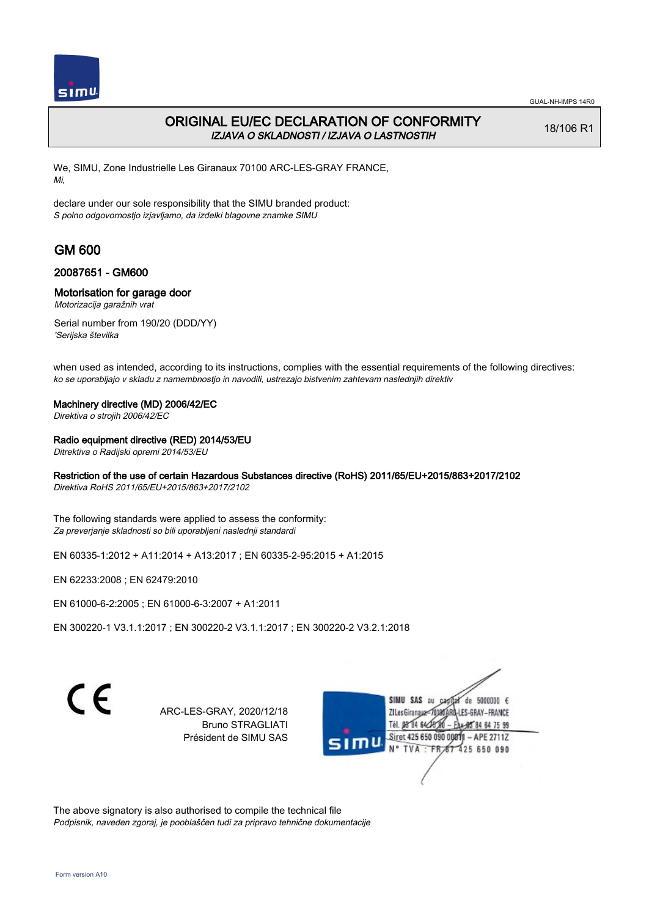

## ORIGINAL EU/EC DECLARATION OF CONFORMITY IZJAVA O SKLADNOSTI / IZJAVA O LASTNOSTIH

18/106 R1

We, SIMU, Zone Industrielle Les Giranaux 70100 ARC-LES-GRAY FRANCE, Mi,

declare under our sole responsibility that the SIMU branded product: S polno odgovornostjo izjavljamo, da izdelki blagovne znamke SIMU

# GM 600

### 20087651 - GM600

#### Motorisation for garage door

Motorizacija garažnih vrat

Serial number from 190/20 (DDD/YY) 'Serijska številka

when used as intended, according to its instructions, complies with the essential requirements of the following directives: ko se uporabljajo v skladu z namembnostjo in navodili, ustrezajo bistvenim zahtevam naslednjih direktiv

#### Machinery directive (MD) 2006/42/EC

Direktiva o strojih 2006/42/EC

#### Radio equipment directive (RED) 2014/53/EU

Ditrektiva o Radijski opremi 2014/53/EU

### Restriction of the use of certain Hazardous Substances directive (RoHS) 2011/65/EU+2015/863+2017/2102

Direktiva RoHS 2011/65/EU+2015/863+2017/2102

The following standards were applied to assess the conformity: Za preverjanje skladnosti so bili uporabljeni naslednji standardi

EN 60335‑1:2012 + A11:2014 + A13:2017 ; EN 60335‑2‑95:2015 + A1:2015

EN 62233:2008 ; EN 62479:2010

EN 61000‑6‑2:2005 ; EN 61000‑6‑3:2007 + A1:2011

EN 300220‑1 V3.1.1:2017 ; EN 300220‑2 V3.1.1:2017 ; EN 300220‑2 V3.2.1:2018

 $\epsilon$ 

ARC-LES-GRAY, 2020/12/18 Bruno STRAGLIATI Président de SIMU SAS

de 5000000  $\epsilon$ **ZILesGiranaux** ES-GRAY-FRANCE 85 84 64 75 99 Siret 425 650 090 00811 - APE 2711Z 425 650 090

The above signatory is also authorised to compile the technical file Podpisnik, naveden zgoraj, je pooblaščen tudi za pripravo tehnične dokumentacije